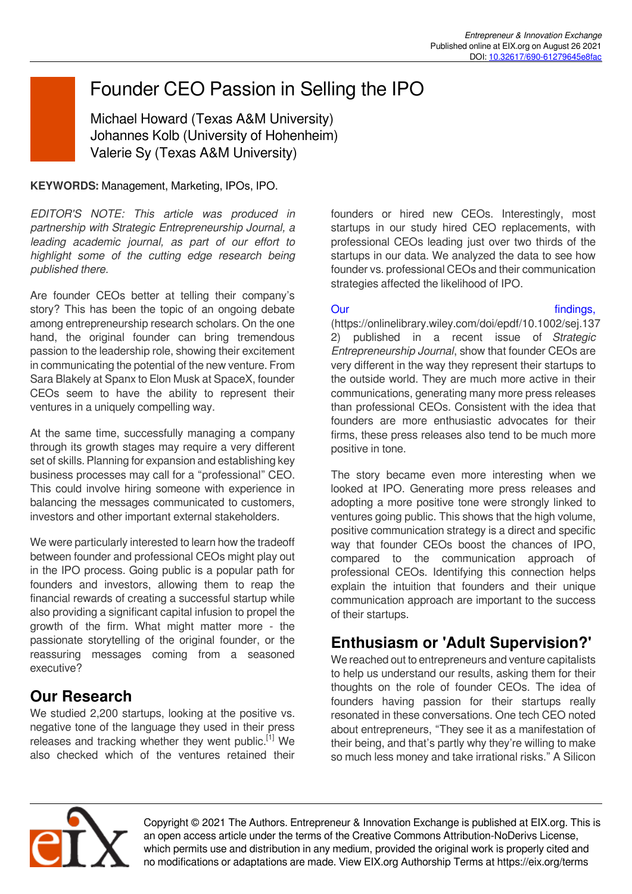# Founder CEO Passion in Selling the IPO

Michael Howard (Texas A&M University) Johannes Kolb (University of Hohenheim) Valerie Sy (Texas A&M University)

### **KEYWORDS:** Management, Marketing, IPOs, IPO.

*EDITOR'S NOTE: This article was produced in partnership with Strategic Entrepreneurship Journal, a leading academic journal, as part of our effort to highlight some of the cutting edge research being published there.*

Are founder CEOs better at telling their company's story? This has been the topic of an ongoing debate among entrepreneurship research scholars. On the one hand, the original founder can bring tremendous passion to the leadership role, showing their excitement in communicating the potential of the new venture. From Sara Blakely at Spanx to Elon Musk at SpaceX, founder CEOs seem to have the ability to represent their ventures in a uniquely compelling way.

At the same time, successfully managing a company through its growth stages may require a very different set of skills. Planning for expansion and establishing key business processes may call for a "professional" CEO. This could involve hiring someone with experience in balancing the messages communicated to customers, investors and other important external stakeholders.

We were particularly interested to learn how the tradeoff between founder and professional CEOs might play out in the IPO process. Going public is a popular path for founders and investors, allowing them to reap the financial rewards of creating a successful startup while also providing a significant capital infusion to propel the growth of the firm. What might matter more - the passionate storytelling of the original founder, or the reassuring messages coming from a seasoned executive?

# **Our Research**

We studied 2,200 startups, looking at the positive vs. negative tone of the language they used in their press releases and tracking whether they went public.<sup>[1]</sup> We also checked which of the ventures retained their founders or hired new CEOs. Interestingly, most startups in our study hired CEO replacements, with professional CEOs leading just over two thirds of the startups in our data. We analyzed the data to see how founder vs. professional CEOs and their communication strategies affected the likelihood of IPO.

Our contract the contract of the contract of the findings,

(https://onlinelibrary.wiley.com/doi/epdf/10.1002/sej.137 2) published in a recent issue of *Strategic Entrepreneurship Journal*, show that founder CEOs are very different in the way they represent their startups to the outside world. They are much more active in their communications, generating many more press releases than professional CEOs. Consistent with the idea that founders are more enthusiastic advocates for their firms, these press releases also tend to be much more positive in tone.

The story became even more interesting when we looked at IPO. Generating more press releases and adopting a more positive tone were strongly linked to ventures going public. This shows that the high volume, positive communication strategy is a direct and specific way that founder CEOs boost the chances of IPO, compared to the communication approach of professional CEOs. Identifying this connection helps explain the intuition that founders and their unique communication approach are important to the success of their startups.

# **Enthusiasm or 'Adult Supervision?'**

We reached out to entrepreneurs and venture capitalists to help us understand our results, asking them for their thoughts on the role of founder CEOs. The idea of founders having passion for their startups really resonated in these conversations. One tech CEO noted about entrepreneurs, "They see it as a manifestation of their being, and that's partly why they're willing to make so much less money and take irrational risks." A Silicon



Copyright © 2021 The Authors. Entrepreneur & Innovation Exchange is published at EIX.org. This is an open access article under the terms of the Creative Commons Attribution-NoDerivs License, which permits use and distribution in any medium, provided the original work is properly cited and no modifications or adaptations are made. View EIX.org Authorship Terms at https://eix.org/terms